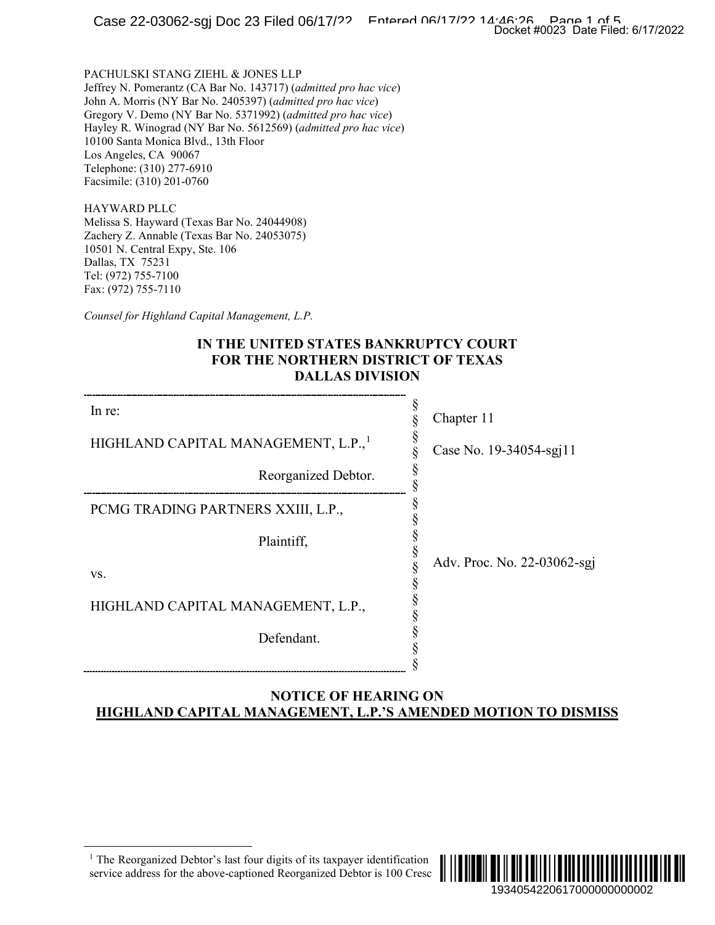## **IN THE UNITED STATES BANKRUPTCY COURT FOR THE NORTHERN DISTRICT OF TEXAS DALLAS DIVISION**

|                                                                                                                                                                                                                                                                                                                                                                                                                                    | Docket #0023 Date Filed: 6/17/2022               |
|------------------------------------------------------------------------------------------------------------------------------------------------------------------------------------------------------------------------------------------------------------------------------------------------------------------------------------------------------------------------------------------------------------------------------------|--------------------------------------------------|
| PACHULSKI STANG ZIEHL & JONES LLP<br>Jeffrey N. Pomerantz (CA Bar No. 143717) (admitted pro hac vice)<br>John A. Morris (NY Bar No. 2405397) (admitted pro hac vice)<br>Gregory V. Demo (NY Bar No. 5371992) (admitted pro hac vice)<br>Hayley R. Winograd (NY Bar No. 5612569) (admitted pro hac vice)<br>10100 Santa Monica Blvd., 13th Floor<br>Los Angeles, CA 90067<br>Telephone: (310) 277-6910<br>Facsimile: (310) 201-0760 |                                                  |
| HAYWARD PLLC<br>Melissa S. Hayward (Texas Bar No. 24044908)<br>Zachery Z. Annable (Texas Bar No. 24053075)<br>10501 N. Central Expy, Ste. 106<br>Dallas, TX 75231<br>Tel: (972) 755-7100<br>Fax: (972) 755-7110                                                                                                                                                                                                                    |                                                  |
| Counsel for Highland Capital Management, L.P.                                                                                                                                                                                                                                                                                                                                                                                      |                                                  |
| IN THE UNITED STATES BANKRUPTCY COURT<br>FOR THE NORTHERN DISTRICT OF TEXAS<br><b>DALLAS DIVISION</b>                                                                                                                                                                                                                                                                                                                              |                                                  |
| In re:                                                                                                                                                                                                                                                                                                                                                                                                                             | Chapter 11<br>§                                  |
| HIGHLAND CAPITAL MANAGEMENT, L.P.,                                                                                                                                                                                                                                                                                                                                                                                                 | §<br>§<br>Case No. 19-34054-sgj11                |
| Reorganized Debtor.                                                                                                                                                                                                                                                                                                                                                                                                                | §                                                |
| PCMG TRADING PARTNERS XXIII, L.P.,                                                                                                                                                                                                                                                                                                                                                                                                 | §<br>§                                           |
| Plaintiff,                                                                                                                                                                                                                                                                                                                                                                                                                         | §                                                |
| VS.                                                                                                                                                                                                                                                                                                                                                                                                                                | $\mathbf{S}$<br>Adv. Proc. No. 22-03062-sgj<br>§ |
| HIGHLAND CAPITAL MANAGEMENT, L.P.,                                                                                                                                                                                                                                                                                                                                                                                                 | §<br>§<br>§                                      |
| Defendant.                                                                                                                                                                                                                                                                                                                                                                                                                         |                                                  |
| <b>NOTICE OF HEARING ON</b><br>HIGHLAND CAPITAL MANAGEMENT, L.P.'S AMENDED MOTION TO DISMISS                                                                                                                                                                                                                                                                                                                                       |                                                  |
|                                                                                                                                                                                                                                                                                                                                                                                                                                    |                                                  |
| <sup>1</sup> The Reorganized Debtor's last four digits of its taxpayer identification<br>service address for the above-captioned Reorganized Debtor is 100 Cresc                                                                                                                                                                                                                                                                   |                                                  |
|                                                                                                                                                                                                                                                                                                                                                                                                                                    | 1934054220617000000000002                        |

# **NOTICE OF HEARING ON HIGHLAND CAPITAL MANAGEMENT, L.P.'S AMENDED MOTION TO DISMISS**

<span id="page-0-0"></span> $1$  The Reorganized Debtor's last four digits of its taxpayer identification service address for the above-captioned Reorganized Debtor is 100 Cresc || || ||

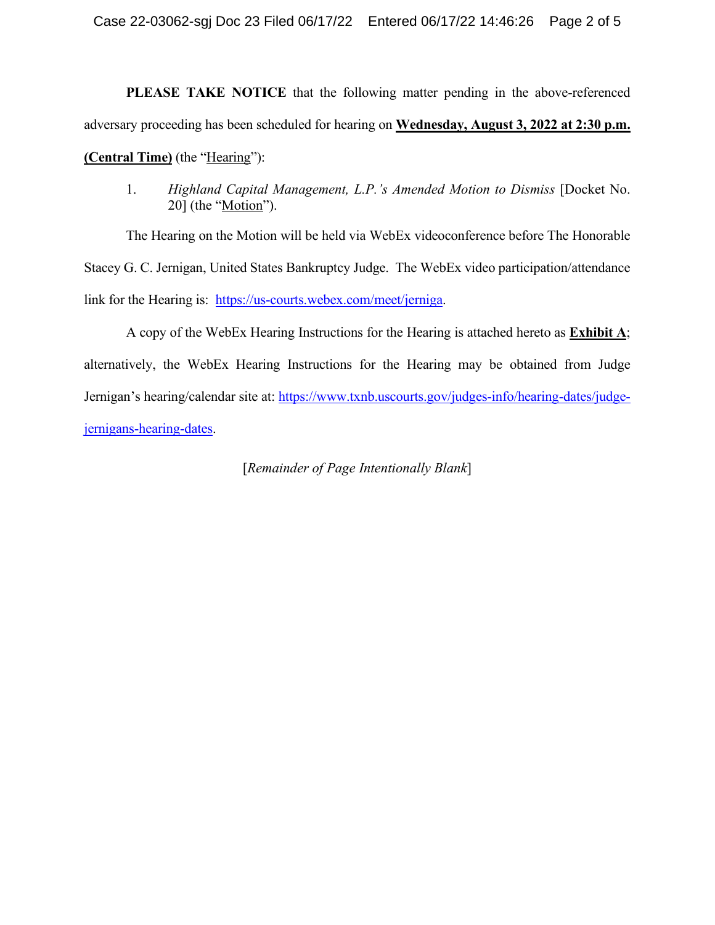**PLEASE TAKE NOTICE** that the following matter pending in the above-referenced adversary proceeding has been scheduled for hearing on **Wednesday, August 3, 2022 at 2:30 p.m. (Central Time)** (the "Hearing"):

1. *Highland Capital Management, L.P.'s Amended Motion to Dismiss* [Docket No. 20] (the "Motion").

The Hearing on the Motion will be held via WebEx videoconference before The Honorable Stacey G. C. Jernigan, United States Bankruptcy Judge. The WebEx video participation/attendance link for the Hearing is: [https://us-courts.webex.com/meet/jerniga.](https://us-courts.webex.com/meet/jerniga)

A copy of the WebEx Hearing Instructions for the Hearing is attached hereto as **Exhibit A**; alternatively, the WebEx Hearing Instructions for the Hearing may be obtained from Judge Jernigan's hearing/calendar site at: [https://www.txnb.uscourts.gov/judges-info/hearing-dates/judge](https://www.txnb.uscourts.gov/judges-info/hearing-dates/judge-jernigans-hearing-dates)[jernigans-hearing-dates.](https://www.txnb.uscourts.gov/judges-info/hearing-dates/judge-jernigans-hearing-dates)

[*Remainder of Page Intentionally Blank*]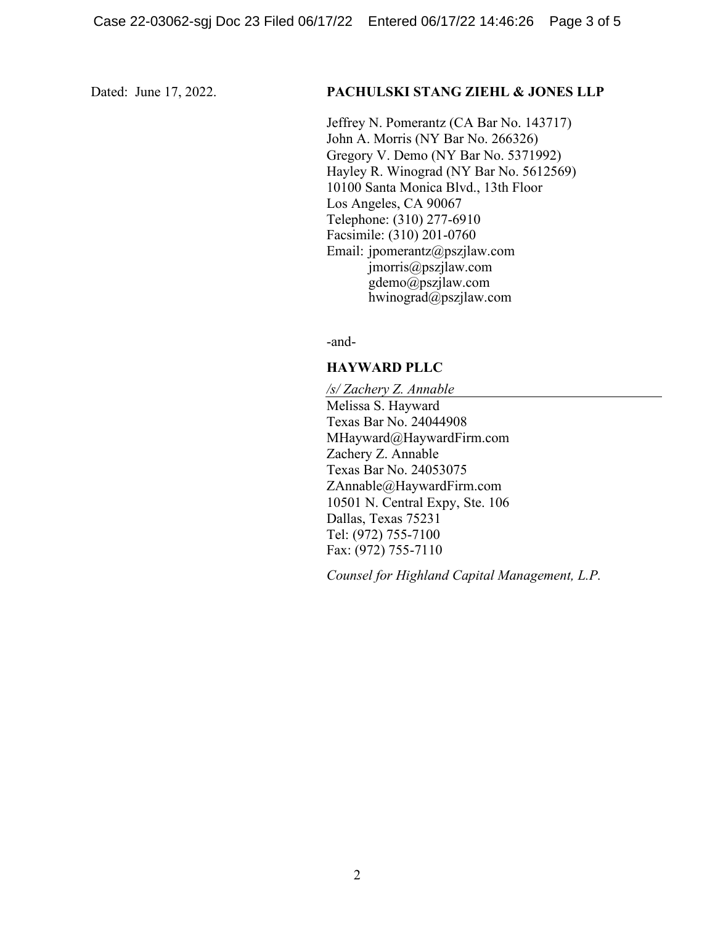#### Dated: June 17, 2022. **PACHULSKI STANG ZIEHL & JONES LLP**

Jeffrey N. Pomerantz (CA Bar No. 143717) John A. Morris (NY Bar No. 266326) Gregory V. Demo (NY Bar No. 5371992) Hayley R. Winograd (NY Bar No. 5612569) 10100 Santa Monica Blvd., 13th Floor Los Angeles, CA 90067 Telephone: (310) 277-6910 Facsimile: (310) 201-0760 Email: jpomerantz@pszjlaw.com jmorris@pszjlaw.com gdemo@pszjlaw.com hwinograd@pszjlaw.com

-and-

## **HAYWARD PLLC**

*/s/ Zachery Z. Annable* Melissa S. Hayward Texas Bar No. 24044908 MHayward@HaywardFirm.com Zachery Z. Annable Texas Bar No. 24053075 ZAnnable@HaywardFirm.com 10501 N. Central Expy, Ste. 106 Dallas, Texas 75231 Tel: (972) 755-7100 Fax: (972) 755-7110

*Counsel for Highland Capital Management, L.P.*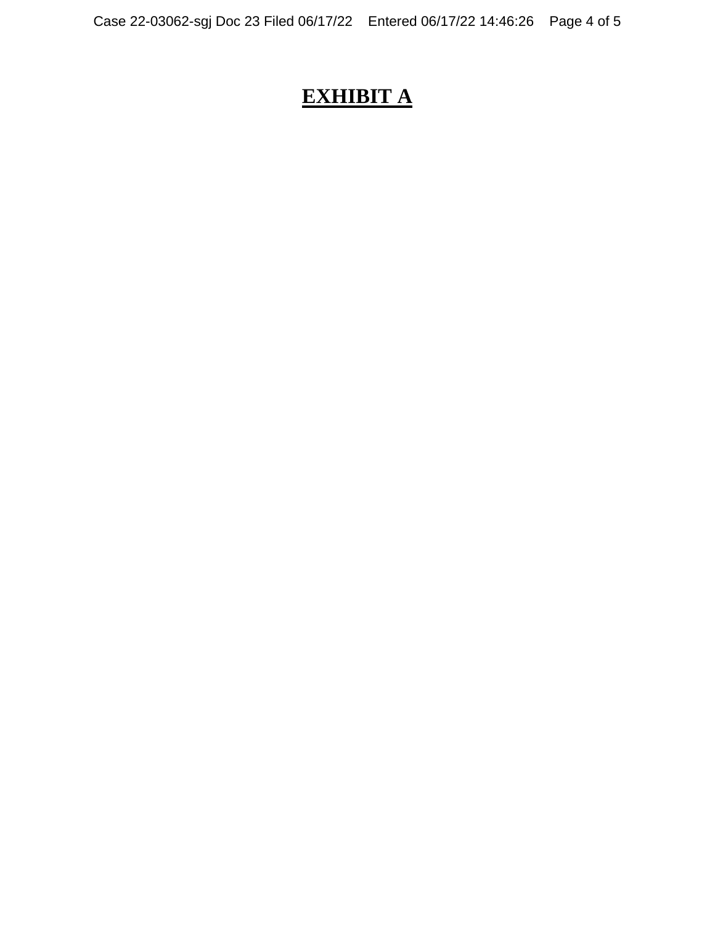# **EXHIBIT A**